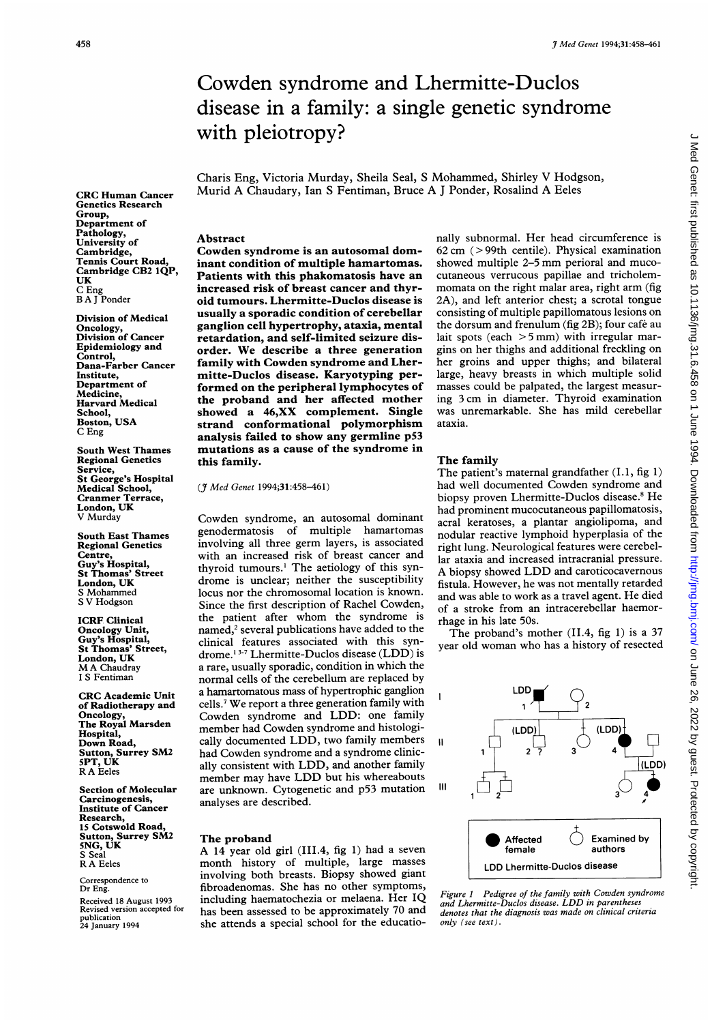Group,

UK C Eng

# Cowden syndrome and Lhermitte-Duclos disease in a family: a single genetic syndrome with pleiotropy?

Charis Eng, Victoria Murday, Sheila Seal, <sup>S</sup> Mohammed, Shirley V Hodgson, Murid A Chaudary, Ian <sup>S</sup> Fentiman, Bruce A <sup>J</sup> Ponder, Rosalind A Eeles

Abstract

Cowden syndrome is an autosomal dominant condition of multiple hamartomas. Patients with this phakomatosis have an increased risk of breast cancer and thyroid tumours. Lhermitte-Duclos disease is usually a sporadic condition of cerebellar ganglion cell hypertrophy, ataxia, mental retardation, and self-limited seizure disorder. We describe a three generation family with Cowden syndrome and Lhermitte-Duclos disease. Karyotyping performed on the peripheral lymphocytes of the proband and her affected mother showed a 46,XX complement. Single strand conformational polymorphism analysis failed to show any germline p53 mutations as a cause of the syndrome in this family.

(J Med Genet 1994;31:458-461)

Cowden syndrome, an autosomal dominant genodermatosis of multiple hamartomas involving all three germ layers, is associated with an increased risk of breast cancer and thyroid tumours.<sup>1</sup> The aetiology of this syndrome is unclear; neither the susceptibility locus nor the chromosomal location is known. Since the first description of Rachel Cowden, the patient after whom the syndrome is named,<sup>2</sup> several publications have added to the clinical features associated with this syndrome.1 3-7 Lhermitte-Duclos disease (LDD) is a rare, usually sporadic, condition in which the normal cells of the cerebellum are replaced by a hamartomatous mass of hypertrophic ganglion cells.7 We report <sup>a</sup> three generation family with Cowden syndrome and LDD: one family member had Cowden syndrome and histologically documented LDD, two family members had Cowden syndrome and <sup>a</sup> syndrome clinically consistent with LDD, and another family member may have LDD but his whereabouts are unknown. Cytogenetic and p53 mutation analyses are described.

### The proband

A <sup>14</sup> year old girl (III.4, fig 1) had <sup>a</sup> seven month history of multiple, large masses involving both breasts. Biopsy showed giant fibroadenomas. She has no other symptoms, including haematochezia or melaena. Her IQ has been assessed to be approximately 70 and she attends a special school for the educatio-

nally subnormal. Her head circumference is 62cm (>99th centile). Physical examination showed multiple 2-5 mm perioral and mucocutaneous verrucous papillae and tricholemmomata on the right malar area, right arm (fig 2A), and left anterior chest; a scrotal tongue consisting of multiple papillomatous lesions on the dorsum and frenulum (fig 2B); four cafe au lait spots (each  $>$  5 mm) with irregular margins on her thighs and additional freckling on her groins and upper thighs; and bilateral large, heavy breasts in which multiple solid masses could be palpated, the largest measuring <sup>3</sup> cm in diameter. Thyroid examination was unremarkable. She has mild cerebellar ataxia.

### The family

11

 $\mathbf{I}$ 

The patient's maternal grandfather  $(I.1, fig 1)$ had well documented Cowden syndrome and biopsy proven Lhermitte-Duclos disease.<sup>8</sup> He had prominent mucocutaneous papillomatosis, acral keratoses, a plantar angiolipoma, and nodular reactive lymphoid hyperplasia of the right lung. Neurological features were cerebellar ataxia and increased intracranial pressure. A biopsy showed LDD and caroticocavernous fistula. However, he was not mentally retarded and was able to work as <sup>a</sup> travel agent. He died of a stroke from an intracerebellar haemorrhage in his late 50s.

The proband's mother (II.4, fig 1) is <sup>a</sup> 37 year old woman who has <sup>a</sup> history of resected



Figure <sup>I</sup> Pedigree of the family with Cowden syndrome and Lhermitte-Duclos disease. LDD in parentheses denotes that the diagnosis was made on clinical criteria only (see text).

CRC Human Cancer Genetics Research Department of Pathology, University of Cambridge, Tennis Court Road, Cambridge CB2 IQP, B A <sup>J</sup> Ponder Division of Medical

Oncology, Division of Cancer Epidemiology and Control, Dana-Farber Cancer Institute, Department of Medicine, Harvard Medical School, Boston, USA C Eng

South West Thames Regional Genetics Service, St George's Hospital Medical School, Cranmer Terrace, London, UK V Murday

South East Thames Regional Genetics Centre, Guy's Hospital, St Thomas' Street London, UK S Mohammed <sup>S</sup> V Hodgson

ICRF Clinical Oncology Unit, Guy's Hospital, St Thomas' Street, London, UK MA Chaudray <sup>I</sup> S Fentiman

CRC Academic Unit of Radiotherapy and Oncology, The Royal Marsden Hospital, Down Road, Sutton, Surrey SM2 5PT, UK R A Eeles

Section of Molecular Carcinogenesis, Institute of Cancer Research, 15 Cotswold Road, Sutton, Surrey SM2 5NG, UK S Seal R A Eeles

Correspondence to Dr Eng.

Received 18 August 1993 Revised version accepted for publication 24 January 1994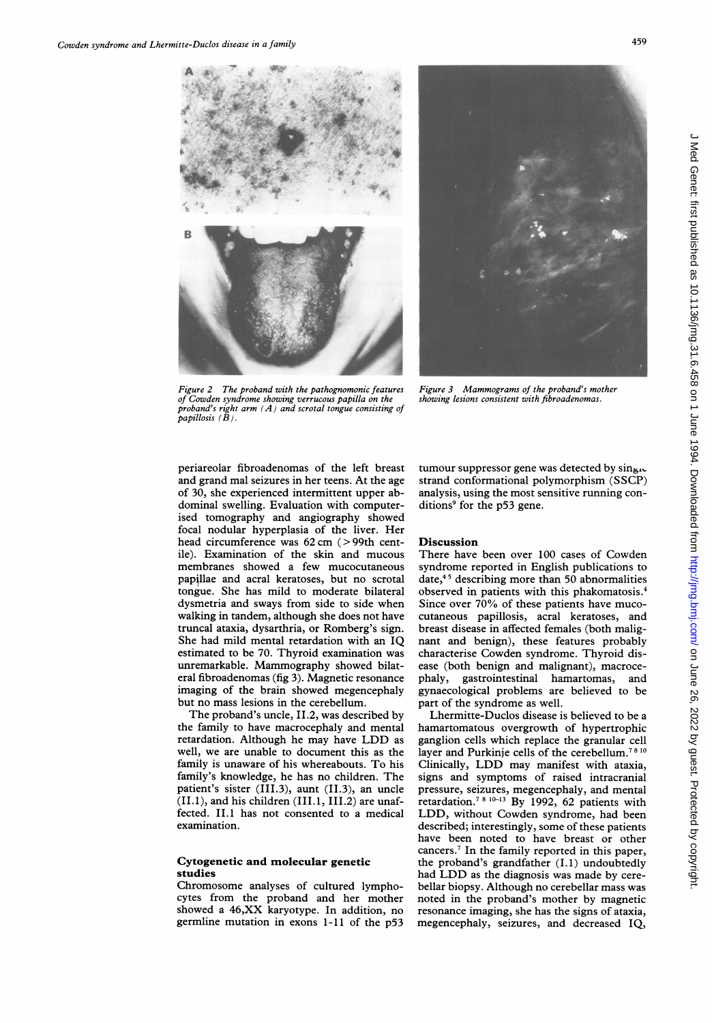



Figure 2 The proband with the pathognomonic features of Cowden syndrome showing verrucous papilla on the proband's right arm  $(A)$  and scrotal tongue consisting of papillosis  $(B)$ .

Figure 3 Mammograms of the proband's mother showing lesions consistent with fibroadenomas.

periareolar fibroadenomas of the left breast and grand mal seizures in her teens. At the age of 30, she experienced intermittent upper abdominal swelling. Evaluation with computerised tomography and angiography showed focal nodular hyperplasia of the liver. Her head circumference was 62 cm (>99th centile). Examination of the skin and mucous membranes showed a few mucocutaneous papillae and acral keratoses, but no scrotal tongue. She has mild to moderate bilateral dysmetria and sways from side to side when walking in tandem, although she does not have truncal ataxia, dysarthria, or Romberg's sign. She had mild mental retardation with an IQ estimated to be 70. Thyroid examination was unremarkable. Mammography showed bilateral fibroadenomas (fig 3). Magnetic resonance imaging of the brain showed megencephaly but no mass lesions in the cerebellum.

The proband's uncle, II.2, was described by the family to have macrocephaly and mental retardation. Although he may have LDD as well, we are unable to document this as the family is unaware of his whereabouts. To his family's knowledge, he has no children. The patient's sister (III.3), aunt (II.3), an uncle (II.1), and his children (III.1, III.2) are unaffected. II.1 has not consented to a medical examination.

## Cytogenetic and molecular genetic studies

Chromosome analyses of cultured lymphocytes from the proband and her mother showed a 46,XX karyotype. In addition, no germline mutation in exons 1-11 of the p53 tumour suppressor gene was detected by  $\sin \mu \infty$ strand conformational polymorphism (SSCP) analysis, using the most sensitive running conditions<sup>9</sup> for the p53 gene.

## **Discussion**

There have been over 100 cases of Cowden syndrome reported in English publications to date,4'5 describing more than 50 abnormalities observed in patients with this phakomatosis.4 Since over 70% of these patients have mucocutaneous papillosis, acral keratoses, and breast disease in affected females (both malignant and benign), these features probably characterise Cowden syndrome. Thyroid disease (both benign and malignant), macrocephaly, gastrointestinal hamartomas, and gynaecological problems are believed to be part of the syndrome as well.

Lhermitte-Duclos disease is believed to be a hamartomatous overgrowth of hypertrophic ganglion cells which replace the granular cell layer and Purkinje cells of the cerebellum.<sup>78 10</sup> Clinically, LDD may manifest with ataxia, signs and symptoms of raised intracranial pressure, seizures, megencephaly, and mental retardation.<sup>7 8 10-13</sup> By 1992, 62 patients with LDD, without Cowden syndrome, had been described; interestingly, some of these patients have been noted to have breast or other cancers.7 In the family reported in this paper, the proband's grandfather (I.1) undoubtedly had LDD as the diagnosis was made by cerebellar biopsy. Although no cerebellar mass was noted in the proband's mother by magnetic resonance imaging, she has the signs of ataxia, megencephaly, seizures, and decreased IQ,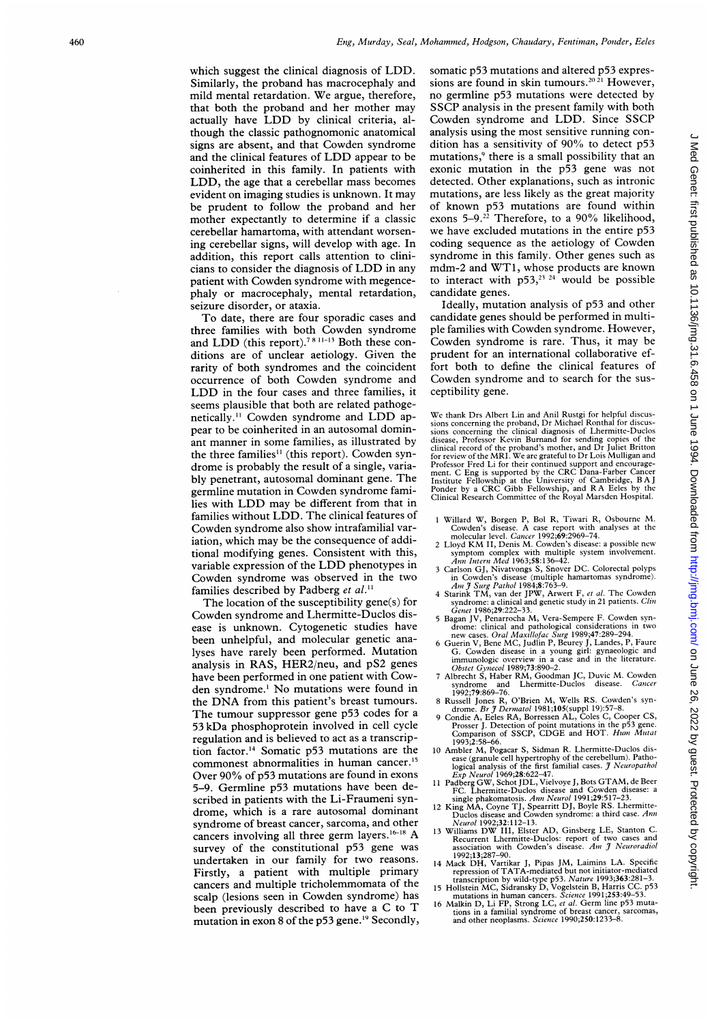which suggest the clinical diagnosis of LDD. Similarly, the proband has macrocephaly and mild mental retardation. We argue, therefore, that both the proband and her mother may actually have LDD by clinical criteria, although the classic pathognomonic anatomical signs are absent, and that Cowden syndrome and the clinical features of LDD appear to be coinherited in this family. In patients with LDD, the age that <sup>a</sup> cerebellar mass becomes evident on imaging studies is unknown. It may be prudent to follow the proband and her mother expectantly to determine if a classic cerebellar hamartoma, with attendant worsening cerebellar signs, will develop with age. In addition, this report calls attention to clinicians to consider the diagnosis of LDD in any patient with Cowden syndrome with megencephaly or macrocephaly, mental retardation, seizure disorder, or ataxia.

To date, there are four sporadic cases and three families with both Cowden syndrome and  $LDD$  (this report).<sup>7811-13</sup> Both these conditions are of unclear aetiology. Given the rarity of both syndromes and the coincident occurrence of both Cowden syndrome and LDD in the four cases and three families, it seems plausible that both are related pathogenetically." Cowden syndrome and LDD appear to be coinherited in an autosomal dominant manner in some families, as illustrated by the three families<sup>11</sup> (this report). Cowden syndrome is probably the result of <sup>a</sup> single, variably penetrant, autosomal dominant gene. The germline mutation in Cowden syndrome families with LDD may be different from that in families without LDD. The clinical features of Cowden syndrome also show intrafamilial variation, which may be the consequence of additional modifying genes. Consistent with this, variable expression of the LDD phenotypes in Cowden syndrome was observed in the two families described by Padberg et al.<sup>11</sup>

The location of the susceptibility gene(s) for Cowden syndrome and Lhermitte-Duclos disease is unknown. Cytogenetic studies have been unhelpful, and molecular genetic analyses have rarely been performed. Mutation analysis in RAS, HER2/neu, and pS2 genes have been performed in one patient with Cowden syndrome.' No mutations were found in the DNA from this patient's breast tumours. The tumour suppressor gene p53 codes for <sup>a</sup> 53 kDa phosphoprotein involved in cell cycle regulation and is believed to act as <sup>a</sup> transcription factor.'4 Somatic p53 mutations are the commonest abnormalities in human cancer.<sup>15</sup> Over 90% of p53 mutations are found in exons 5-9. Germline p53 mutations have been described in patients with the Li-Fraumeni syndrome, which is <sup>a</sup> rare autosomal dominant syndrome of breast cancer, sarcoma, and other cancers involving all three germ layers.<sup>16-18</sup> A survey of the constitutional p53 gene was undertaken in our family for two reasons. Firstly, <sup>a</sup> patient with multiple primary cancers and multiple tricholemmomata of the scalp (lesions seen in Cowden syndrome) has been previously described to have <sup>a</sup> C to T mutation in exon 8 of the p53 gene.<sup>19</sup> Secondly, somatic p53 mutations and altered p53 expressions are found in skin tumours.<sup>2021</sup> However, no germline p53 mutations were detected by SSCP analysis in the present family with both Cowden syndrome and LDD. Since SSCP analysis using the most sensitive running condition has a sensitivity of  $90\%$  to detect p53 mutations,<sup>9</sup> there is a small possibility that an exonic mutation in the p53 gene was not detected. Other explanations, such as intronic mutations, are less likely as the great majority of known p53 mutations are found within exons  $5-9.^{22}$  Therefore, to a  $90\%$  likelihood, we have excluded mutations in the entire p53 coding sequence as the aetiology of Cowden syndrome in this family. Other genes such as mdm-2 and WT1, whose products are known to interact with  $p53$ ,<sup>23</sup> <sup>24</sup> would be possible candidate genes.

Ideally, mutation analysis of p53 and other candidate genes should be performed in multiple families with Cowden syndrome. However, Cowden syndrome is rare. Thus, it may be prudent for an international collaborative effort both to define the clinical features of Cowden syndrome and to search for the susceptibility gene.

We thank Drs Albert Lin and Anil Rustgi for helpful discussions concerning the proband, Dr Michael Ronthal for discussions concerning the clinical diagnosis of Lhermitte-Duclos disease, Professor Kevin Burnand for sending

- 
- 1 Willard W, Borgen P, Bol R, Tiwari R, Osbourne M.<br>Cowden's disease. A case report with analyses at the<br>molecular level. *Cancer* 1992;69:2969–74.<br>2 Lloyd KM II, Denis M. Cowden's disease: a possible new<br>symptom complex
- 3 Carlson GJ, Nivatvongs S, Snover DC. Colorectal polyps<br>
in Cowden's disease (multiple hamartomas syndrome).<br> *Am J* Surg Pathol 1984;8:763-9.<br>
4 Starink TM, van der JPW, Arwert F, *et al*. The Cowden
- syndrome: a clinical and genetic study in 21 patients. *Clin* Genet  $1986;29:222-33$ .
- 
- Green 1986; 292:222-53.<br>
5 Bagan JV, Penarrocha M, Vera-Sempere F. Cowden syn-<br>
drome: clinical and pathological considerations in two<br>
new cases. Oral Maxillofac Surg 1989;47:289-294.<br>
6 Guerin V, Bene MC, Judlin P, Beur
- 
- 
- syndrome and Lhermitte-Duclos disease. Cancer<br>
1992;79:69-76.<br>
8 Russell Jones R, O'Brien M, Wells RS. Cowden's syn-<br>
drome. Br J Dermatol 1981;105(suppl 19):57-8.<br>
9 Condic A, Eeles RA, Borressen AL, Coles C, Cooper CS,<br>
- 
- 
- 
- 1993;273-8-00.<br>
Hypertrophy of the cerebellum). Pathological analysis of the first familial cases. *J Neuropathol*<br>
logical analysis of the first familial cases. *J Neuropathol*<br>
logical analysis of the first familial cas
- 
- 
- 16 Malkin D, Li FP, Strong LC, et al. Germ line p53 mutations in a familial syndrome of breast cancer, sarcomas, and other neoplasms. Science 1990;250:1233-8.